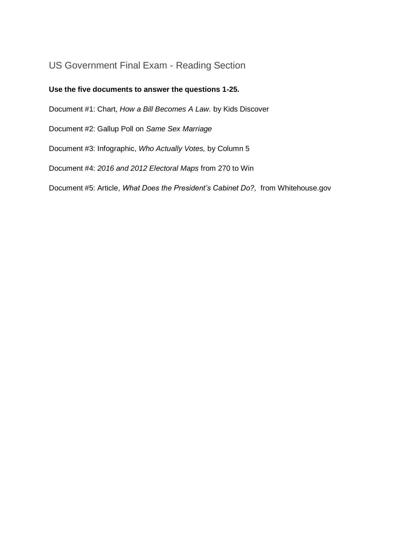# US Government Final Exam - Reading Section

#### **Use the five documents to answer the questions 1-25.**

Document #1: Chart, *How a Bill Becomes A Law.* by Kids Discover

Document #2: Gallup Poll on *Same Sex Marriage*

Document #3: Infographic, *Who Actually Votes,* by Column 5

Document #4: *2016 and 2012 Electoral Maps* from 270 to Win

Document #5: Article, *What Does the President's Cabinet Do?,* from Whitehouse.gov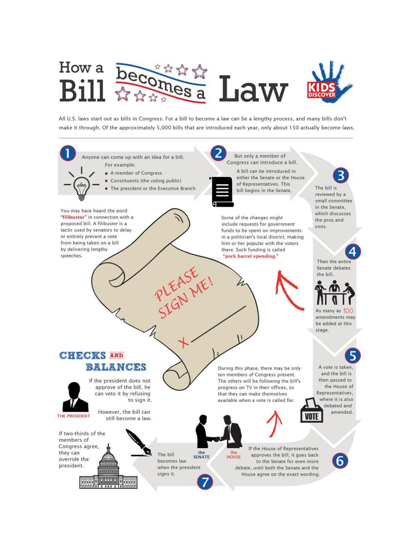

All U.S. laws start out as bills in Congress. For a bill to become a law can be a lengthy process, and many bills don't make it through. Of the approximately 5,000 bills that are introduced each year, only about 150 actually become laws.

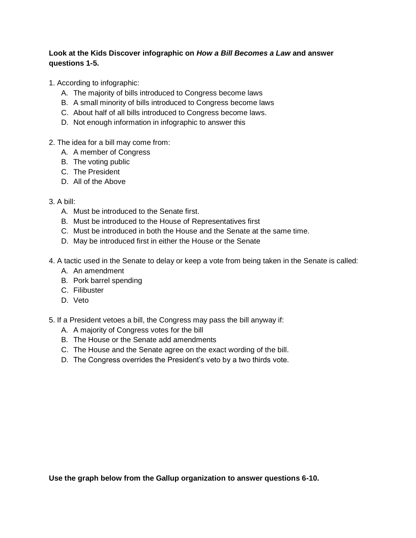#### **Look at the Kids Discover infographic on** *How a Bill Becomes a Law* **and answer questions 1-5.**

- 1. According to infographic:
	- A. The majority of bills introduced to Congress become laws
	- B. A small minority of bills introduced to Congress become laws
	- C. About half of all bills introduced to Congress become laws.
	- D. Not enough information in infographic to answer this
- 2. The idea for a bill may come from:
	- A. A member of Congress
	- B. The voting public
	- C. The President
	- D. All of the Above

#### 3. A bill:

- A. Must be introduced to the Senate first.
- B. Must be introduced to the House of Representatives first
- C. Must be introduced in both the House and the Senate at the same time.
- D. May be introduced first in either the House or the Senate
- 4. A tactic used in the Senate to delay or keep a vote from being taken in the Senate is called:
	- A. An amendment
	- B. Pork barrel spending
	- C. Filibuster
	- D. Veto
- 5. If a President vetoes a bill, the Congress may pass the bill anyway if:
	- A. A majority of Congress votes for the bill
	- B. The House or the Senate add amendments
	- C. The House and the Senate agree on the exact wording of the bill.
	- D. The Congress overrides the President's veto by a two thirds vote.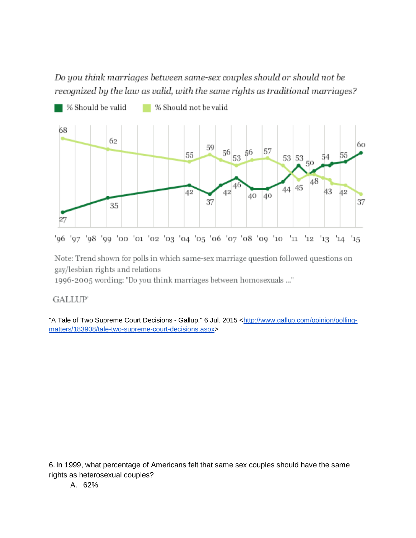Do you think marriages between same-sex couples should or should not be recognized by the law as valid, with the same rights as traditional marriages?



'96 '97 '98 '99 '00 '01 '02 '03 '04 '05 '06 '07 '08 '09 '10 '11 '12 '13 '14 '15

Note: Trend shown for polls in which same-sex marriage question followed questions on gay/lesbian rights and relations

1996-2005 wording: "Do you think marriages between homosexuals ..."

### **GALLUP**

"A Tale of Two Supreme Court Decisions - Gallup." 6 Jul. 2015 [<http://www.gallup.com/opinion/polling](http://www.gallup.com/opinion/polling-matters/183908/tale-two-supreme-court-decisions.aspx)[matters/183908/tale-two-supreme-court-decisions.aspx>](http://www.gallup.com/opinion/polling-matters/183908/tale-two-supreme-court-decisions.aspx)

6. In 1999, what percentage of Americans felt that same sex couples should have the same rights as heterosexual couples?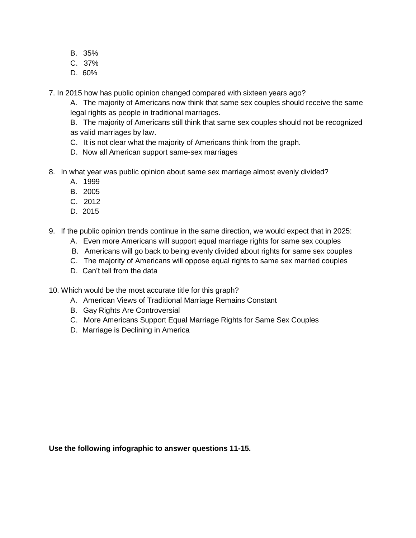- B. 35%
- C. 37%
- D. 60%

7. In 2015 how has public opinion changed compared with sixteen years ago?

A. The majority of Americans now think that same sex couples should receive the same legal rights as people in traditional marriages.

B. The majority of Americans still think that same sex couples should not be recognized as valid marriages by law.

- C. It is not clear what the majority of Americans think from the graph.
- D. Now all American support same-sex marriages
- 8. In what year was public opinion about same sex marriage almost evenly divided?
	- A. 1999
	- B. 2005
	- C. 2012
	- D. 2015
- 9. If the public opinion trends continue in the same direction, we would expect that in 2025:
	- A. Even more Americans will support equal marriage rights for same sex couples
	- B. Americans will go back to being evenly divided about rights for same sex couples
	- C. The majority of Americans will oppose equal rights to same sex married couples
	- D. Can't tell from the data

10. Which would be the most accurate title for this graph?

- A. American Views of Traditional Marriage Remains Constant
- B. Gay Rights Are Controversial
- C. More Americans Support Equal Marriage Rights for Same Sex Couples
- D. Marriage is Declining in America

**Use the following infographic to answer questions 11-15.**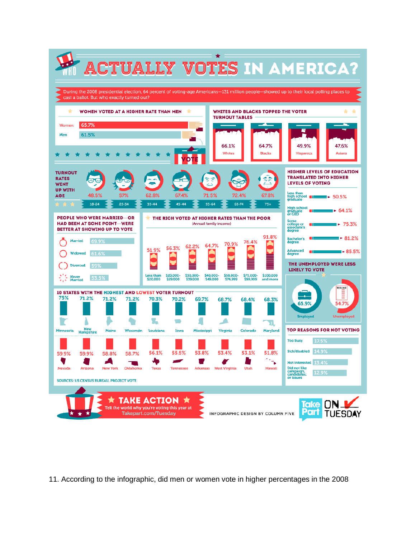

11. According to the infographic, did men or women vote in higher percentages in the 2008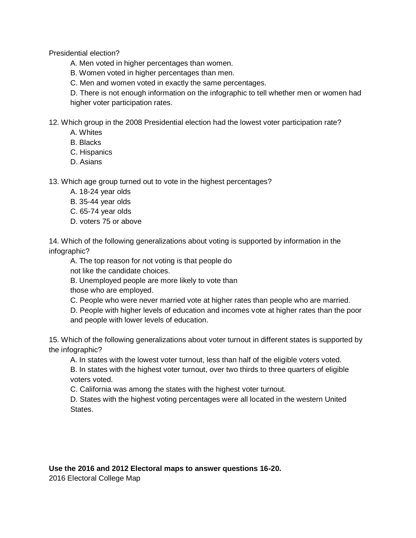Presidential election?

A. Men voted in higher percentages than women.

B. Women voted in higher percentages than men.

C. Men and women voted in exactly the same percentages.

D. There is not enough information on the infographic to tell whether men or women had higher voter participation rates.

12. Which group in the 2008 Presidential election had the lowest voter participation rate?

- A. Whites
- B. Blacks
- C. Hispanics
- D. Asians

13. Which age group turned out to vote in the highest percentages?

- A. 18-24 year olds
- B. 35-44 year olds
- C. 65-74 year olds
- D. voters 75 or above

14. Which of the following generalizations about voting is supported by information in the infographic?

A. The top reason for not voting is that people do

not like the candidate choices.

B. Unemployed people are more likely to vote than

those who are employed.

C. People who were never married vote at higher rates than people who are married.

D. People with higher levels of education and incomes vote at higher rates than the poor and people with lower levels of education.

15. Which of the following generalizations about voter turnout in different states is supported by the infographic?

A. In states with the lowest voter turnout, less than half of the eligible voters voted.

B. In states with the highest voter turnout, over two thirds to three quarters of eligible voters voted.

C. California was among the states with the highest voter turnout.

D. States with the highest voting percentages were all located in the western United States.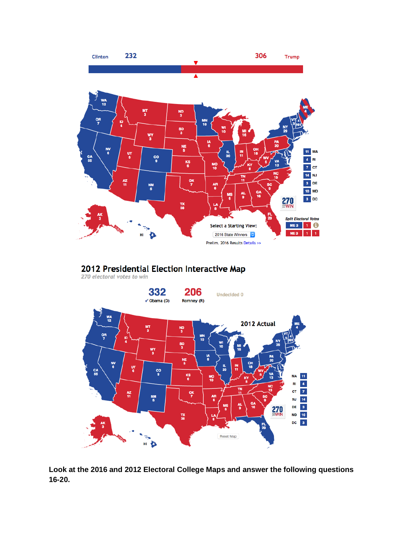

## 2012 Presidential Election Interactive Map

270 electoral votes to win



**Look at the 2016 and 2012 Electoral College Maps and answer the following questions 16-20.**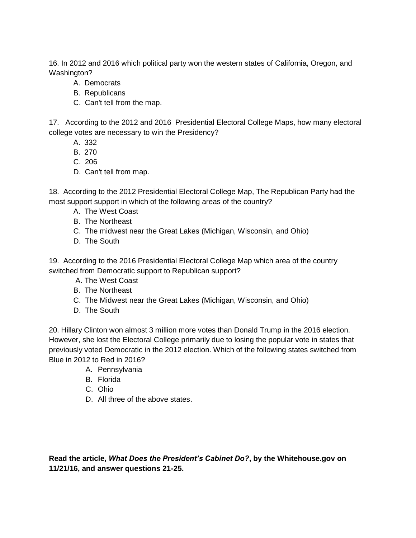16. In 2012 and 2016 which political party won the western states of California, Oregon, and Washington?

- A. Democrats
- B. Republicans
- C. Can't tell from the map.

17. According to the 2012 and 2016 Presidential Electoral College Maps, how many electoral college votes are necessary to win the Presidency?

- A. 332
- B. 270
- C. 206
- D. Can't tell from map.

18. According to the 2012 Presidential Electoral College Map, The Republican Party had the most support support in which of the following areas of the country?

- A. The West Coast
- B. The Northeast
- C. The midwest near the Great Lakes (Michigan, Wisconsin, and Ohio)
- D. The South

19. According to the 2016 Presidential Electoral College Map which area of the country switched from Democratic support to Republican support?

- A. The West Coast
- B. The Northeast
- C. The Midwest near the Great Lakes (Michigan, Wisconsin, and Ohio)
- D. The South

20. Hillary Clinton won almost 3 million more votes than Donald Trump in the 2016 election. However, she lost the Electoral College primarily due to losing the popular vote in states that previously voted Democratic in the 2012 election. Which of the following states switched from Blue in 2012 to Red in 2016?

- A. Pennsylvania
- B. Florida
- C. Ohio
- D. All three of the above states.

**Read the article,** *What Does the President's Cabinet Do?***, by the Whitehouse.gov on 11/21/16, and answer questions 21-25.**